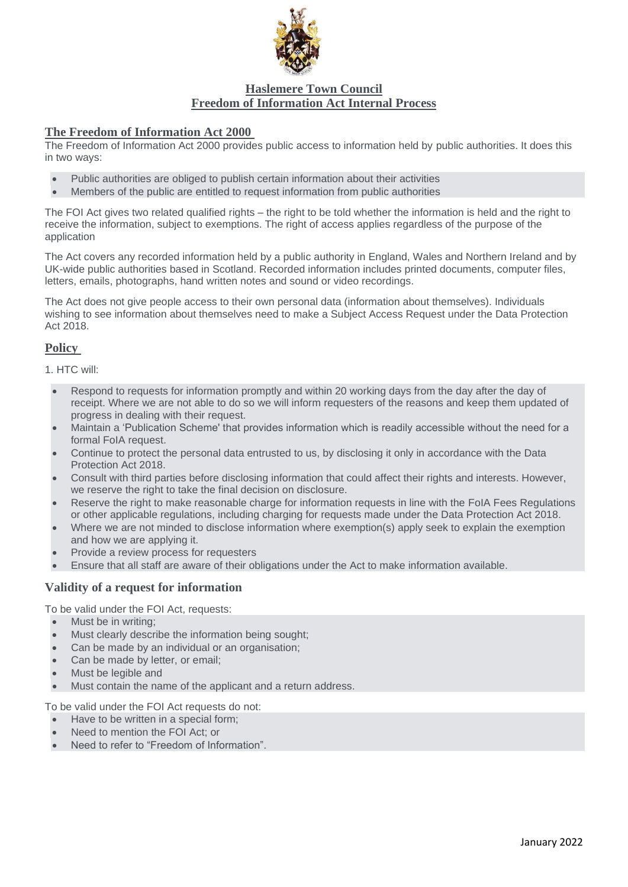

# **Haslemere Town Council Freedom of Information Act Internal Process**

### **The Freedom of Information Act 2000**

The Freedom of Information Act 2000 provides public access to information held by public authorities. It does this in two ways:

- Public authorities are obliged to publish certain information about their activities
- Members of the public are entitled to request information from public authorities

The FOI Act gives two related qualified rights – the right to be told whether the information is held and the right to receive the information, subject to exemptions. The right of access applies regardless of the purpose of the application

The Act covers any recorded information held by a public authority in England, Wales and Northern Ireland and by UK-wide public authorities based in Scotland. Recorded information includes printed documents, computer files, letters, emails, photographs, hand written notes and sound or video recordings.

The Act does not give people access to their own personal data (information about themselves). Individuals wishing to see information about themselves need to make a Subject Access Request under the Data Protection Act 2018.

# **Policy**

1. HTC will:

- Respond to requests for information promptly and within 20 working days from the day after the day of receipt. Where we are not able to do so we will inform requesters of the reasons and keep them updated of progress in dealing with their request.
- Maintain a 'Publication Scheme' that provides information which is readily accessible without the need for a formal FoIA request.
- Continue to protect the personal data entrusted to us, by disclosing it only in accordance with the Data Protection Act 2018.
- Consult with third parties before disclosing information that could affect their rights and interests. However, we reserve the right to take the final decision on disclosure.
- Reserve the right to make reasonable charge for information requests in line with the FoIA Fees Regulations or other applicable regulations, including charging for requests made under the Data Protection Act 2018.
- Where we are not minded to disclose information where exemption(s) apply seek to explain the exemption and how we are applying it.
- Provide a review process for requesters
- Ensure that all staff are aware of their obligations under the Act to make information available.

## **Validity of a request for information**

To be valid under the FOI Act, requests:

- Must be in writing;
- Must clearly describe the information being sought;
- Can be made by an individual or an organisation;
- Can be made by letter, or email;
- Must be legible and
- Must contain the name of the applicant and a return address.

To be valid under the FOI Act requests do not:

- Have to be written in a special form;
- Need to mention the FOI Act; or
- Need to refer to "Freedom of Information".